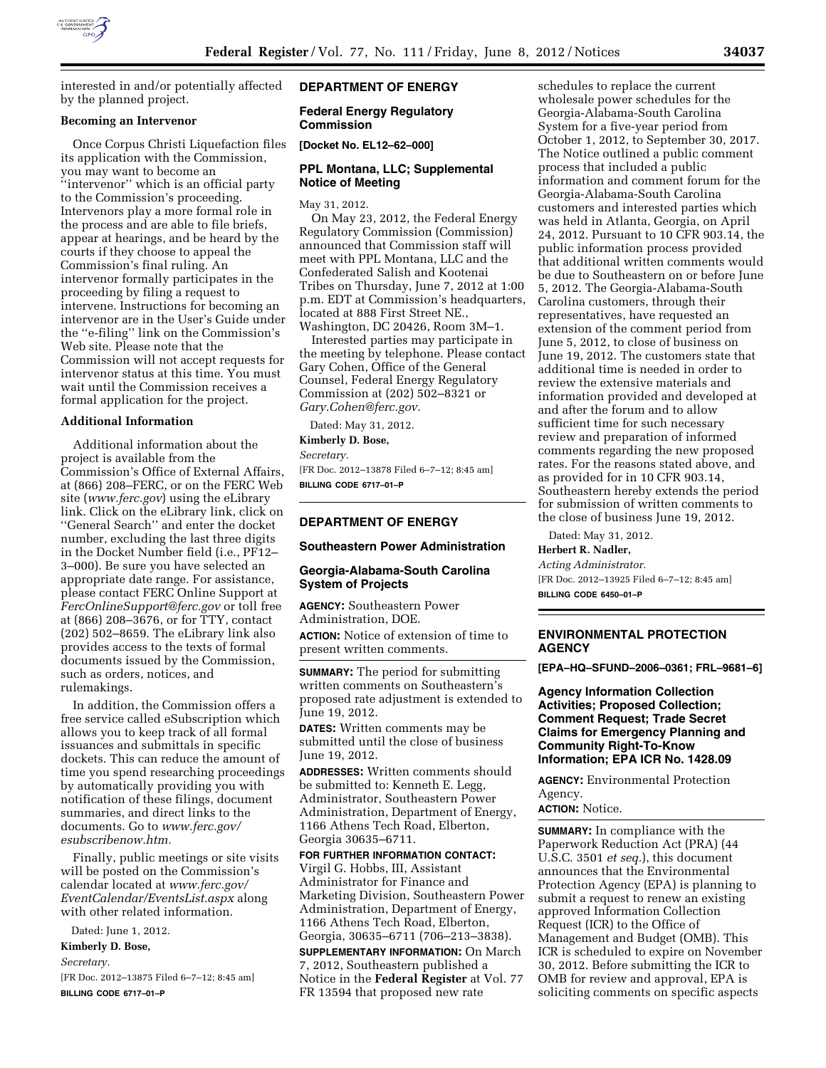

interested in and/or potentially affected by the planned project.

## **Becoming an Intervenor**

Once Corpus Christi Liquefaction files its application with the Commission, you may want to become an ''intervenor'' which is an official party to the Commission's proceeding. Intervenors play a more formal role in the process and are able to file briefs, appear at hearings, and be heard by the courts if they choose to appeal the Commission's final ruling. An intervenor formally participates in the proceeding by filing a request to intervene. Instructions for becoming an intervenor are in the User's Guide under the ''e-filing'' link on the Commission's Web site. Please note that the Commission will not accept requests for intervenor status at this time. You must wait until the Commission receives a formal application for the project.

## **Additional Information**

Additional information about the project is available from the Commission's Office of External Affairs, at (866) 208–FERC, or on the FERC Web site (*[www.ferc.gov](http://www.ferc.gov)*) using the eLibrary link. Click on the eLibrary link, click on ''General Search'' and enter the docket number, excluding the last three digits in the Docket Number field (i.e., PF12– 3–000). Be sure you have selected an appropriate date range. For assistance, please contact FERC Online Support at *[FercOnlineSupport@ferc.gov](mailto:FercOnlineSupport@ferc.gov)* or toll free at (866) 208–3676, or for TTY, contact (202) 502–8659. The eLibrary link also provides access to the texts of formal documents issued by the Commission, such as orders, notices, and rulemakings.

In addition, the Commission offers a free service called eSubscription which allows you to keep track of all formal issuances and submittals in specific dockets. This can reduce the amount of time you spend researching proceedings by automatically providing you with notification of these filings, document summaries, and direct links to the documents. Go to *[www.ferc.gov/](http://www.ferc.gov/esubscribenow.htm)  [esubscribenow.htm.](http://www.ferc.gov/esubscribenow.htm)* 

Finally, public meetings or site visits will be posted on the Commission's calendar located at *[www.ferc.gov/](http://www.ferc.gov/EventCalendar/EventsList.aspx) [EventCalendar/EventsList.aspx](http://www.ferc.gov/EventCalendar/EventsList.aspx)* along with other related information.

Dated: June 1, 2012.

#### **Kimberly D. Bose,**

*Secretary.* 

[FR Doc. 2012–13875 Filed 6–7–12; 8:45 am] **BILLING CODE 6717–01–P** 

# **DEPARTMENT OF ENERGY**

### **Federal Energy Regulatory Commission**

**[Docket No. EL12–62–000]** 

# **PPL Montana, LLC; Supplemental Notice of Meeting**

May 31, 2012.

On May 23, 2012, the Federal Energy Regulatory Commission (Commission) announced that Commission staff will meet with PPL Montana, LLC and the Confederated Salish and Kootenai Tribes on Thursday, June 7, 2012 at 1:00 p.m. EDT at Commission's headquarters, located at 888 First Street NE., Washington, DC 20426, Room 3M–1.

Interested parties may participate in the meeting by telephone. Please contact Gary Cohen, Office of the General Counsel, Federal Energy Regulatory Commission at (202) 502–8321 or *[Gary.Cohen@ferc.gov](mailto:Gary.Cohen@ferc.gov)*.

Dated: May 31, 2012. **Kimberly D. Bose,**  *Secretary.*  [FR Doc. 2012–13878 Filed 6–7–12; 8:45 am] **BILLING CODE 6717–01–P** 

#### **DEPARTMENT OF ENERGY**

### **Southeastern Power Administration**

# **Georgia-Alabama-South Carolina System of Projects**

**AGENCY:** Southeastern Power Administration, DOE.

**ACTION:** Notice of extension of time to present written comments.

**SUMMARY:** The period for submitting written comments on Southeastern's proposed rate adjustment is extended to June 19, 2012.

**DATES:** Written comments may be submitted until the close of business June 19, 2012.

**ADDRESSES:** Written comments should be submitted to: Kenneth E. Legg, Administrator, Southeastern Power Administration, Department of Energy, 1166 Athens Tech Road, Elberton, Georgia 30635–6711.

#### **FOR FURTHER INFORMATION CONTACT:**

Virgil G. Hobbs, III, Assistant Administrator for Finance and Marketing Division, Southeastern Power Administration, Department of Energy, 1166 Athens Tech Road, Elberton, Georgia, 30635–6711 (706–213–3838).

**SUPPLEMENTARY INFORMATION:** On March 7, 2012, Southeastern published a Notice in the **Federal Register** at Vol. 77 FR 13594 that proposed new rate

schedules to replace the current wholesale power schedules for the Georgia-Alabama-South Carolina System for a five-year period from October 1, 2012, to September 30, 2017. The Notice outlined a public comment process that included a public information and comment forum for the Georgia-Alabama-South Carolina customers and interested parties which was held in Atlanta, Georgia, on April 24, 2012. Pursuant to 10 CFR 903.14, the public information process provided that additional written comments would be due to Southeastern on or before June 5, 2012. The Georgia-Alabama-South Carolina customers, through their representatives, have requested an extension of the comment period from June 5, 2012, to close of business on June 19, 2012. The customers state that additional time is needed in order to review the extensive materials and information provided and developed at and after the forum and to allow sufficient time for such necessary review and preparation of informed comments regarding the new proposed rates. For the reasons stated above, and as provided for in 10 CFR 903.14, Southeastern hereby extends the period for submission of written comments to the close of business June 19, 2012.

Dated: May 31, 2012.

**Herbert R. Nadler,**  *Acting Administrator.*  [FR Doc. 2012–13925 Filed 6–7–12; 8:45 am] **BILLING CODE 6450–01–P** 

# **ENVIRONMENTAL PROTECTION AGENCY**

**[EPA–HQ–SFUND–2006–0361; FRL–9681–6]** 

**Agency Information Collection Activities; Proposed Collection; Comment Request; Trade Secret Claims for Emergency Planning and Community Right-To-Know Information; EPA ICR No. 1428.09** 

**AGENCY:** Environmental Protection Agency.

# **ACTION:** Notice.

**SUMMARY:** In compliance with the Paperwork Reduction Act (PRA) (44 U.S.C. 3501 *et seq.*), this document announces that the Environmental Protection Agency (EPA) is planning to submit a request to renew an existing approved Information Collection Request (ICR) to the Office of Management and Budget (OMB). This ICR is scheduled to expire on November 30, 2012. Before submitting the ICR to OMB for review and approval, EPA is soliciting comments on specific aspects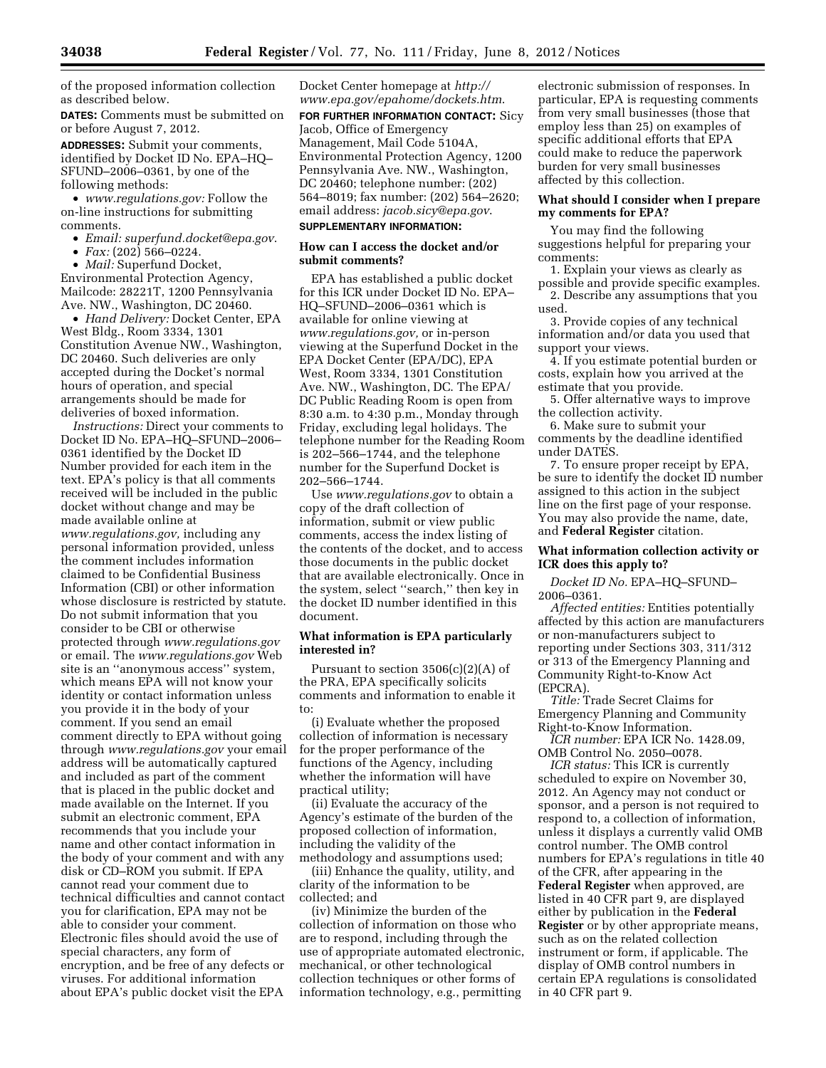of the proposed information collection as described below.

**DATES:** Comments must be submitted on or before August 7, 2012.

**ADDRESSES:** Submit your comments, identified by Docket ID No. EPA–HQ– SFUND–2006–0361, by one of the following methods:

• *[www.regulations.gov:](http://www.regulations.gov)* Follow the on-line instructions for submitting comments.

- *Email: [superfund.docket@epa.gov](mailto:superfund.docket@epa.gov)*.
- *Fax:* (202) 566–0224.

• *Mail:* Superfund Docket, Environmental Protection Agency, Mailcode: 28221T, 1200 Pennsylvania Ave. NW., Washington, DC 20460.

• *Hand Delivery:* Docket Center, EPA West Bldg., Room 3334, 1301 Constitution Avenue NW., Washington, DC 20460. Such deliveries are only accepted during the Docket's normal hours of operation, and special arrangements should be made for deliveries of boxed information.

*Instructions:* Direct your comments to Docket ID No. EPA–HQ–SFUND–2006– 0361 identified by the Docket ID Number provided for each item in the text. EPA's policy is that all comments received will be included in the public docket without change and may be made available online at *[www.regulations.gov,](http://www.regulations.gov)* including any personal information provided, unless the comment includes information claimed to be Confidential Business Information (CBI) or other information whose disclosure is restricted by statute. Do not submit information that you consider to be CBI or otherwise protected through *[www.regulations.gov](http://www.regulations.gov)*  or email. The *[www.regulations.gov](http://www.regulations.gov)* Web site is an ''anonymous access'' system, which means EPA will not know your identity or contact information unless you provide it in the body of your comment. If you send an email comment directly to EPA without going through *[www.regulations.gov](http://www.regulations.gov)* your email address will be automatically captured and included as part of the comment that is placed in the public docket and made available on the Internet. If you submit an electronic comment, EPA recommends that you include your name and other contact information in the body of your comment and with any disk or CD–ROM you submit. If EPA cannot read your comment due to technical difficulties and cannot contact you for clarification, EPA may not be able to consider your comment. Electronic files should avoid the use of special characters, any form of encryption, and be free of any defects or viruses. For additional information about EPA's public docket visit the EPA

Docket Center homepage at *[http://](http://www.epa.gov/epahome/dockets.htm) [www.epa.gov/epahome/dockets.htm](http://www.epa.gov/epahome/dockets.htm)*.

**FOR FURTHER INFORMATION CONTACT:** Sicy Jacob, Office of Emergency Management, Mail Code 5104A, Environmental Protection Agency, 1200 Pennsylvania Ave. NW., Washington, DC 20460; telephone number: (202) 564–8019; fax number: (202) 564–2620; email address: *[jacob.sicy@epa.gov](mailto:jacob.sicy@epa.gov)*.

# **SUPPLEMENTARY INFORMATION:**

# **How can I access the docket and/or submit comments?**

EPA has established a public docket for this ICR under Docket ID No. EPA– HQ–SFUND–2006–0361 which is available for online viewing at *[www.regulations.gov,](http://www.regulations.gov)* or in-person viewing at the Superfund Docket in the EPA Docket Center (EPA/DC), EPA West, Room 3334, 1301 Constitution Ave. NW., Washington, DC. The EPA/ DC Public Reading Room is open from 8:30 a.m. to 4:30 p.m., Monday through Friday, excluding legal holidays. The telephone number for the Reading Room is 202–566–1744, and the telephone number for the Superfund Docket is 202–566–1744.

Use *[www.regulations.gov](http://www.regulations.gov)* to obtain a copy of the draft collection of information, submit or view public comments, access the index listing of the contents of the docket, and to access those documents in the public docket that are available electronically. Once in the system, select ''search,'' then key in the docket ID number identified in this document.

## **What information is EPA particularly interested in?**

Pursuant to section  $3506(c)(2)(A)$  of the PRA, EPA specifically solicits comments and information to enable it to:

(i) Evaluate whether the proposed collection of information is necessary for the proper performance of the functions of the Agency, including whether the information will have practical utility;

(ii) Evaluate the accuracy of the Agency's estimate of the burden of the proposed collection of information, including the validity of the methodology and assumptions used;

(iii) Enhance the quality, utility, and clarity of the information to be collected; and

(iv) Minimize the burden of the collection of information on those who are to respond, including through the use of appropriate automated electronic, mechanical, or other technological collection techniques or other forms of information technology, e.g., permitting

electronic submission of responses. In particular, EPA is requesting comments from very small businesses (those that employ less than 25) on examples of specific additional efforts that EPA could make to reduce the paperwork burden for very small businesses affected by this collection.

# **What should I consider when I prepare my comments for EPA?**

You may find the following suggestions helpful for preparing your comments:

1. Explain your views as clearly as possible and provide specific examples. 2. Describe any assumptions that you used.

3. Provide copies of any technical information and/or data you used that support your views.

4. If you estimate potential burden or costs, explain how you arrived at the estimate that you provide.

5. Offer alternative ways to improve the collection activity.

6. Make sure to submit your comments by the deadline identified under DATES.

7. To ensure proper receipt by EPA, be sure to identify the docket ID number assigned to this action in the subject line on the first page of your response. You may also provide the name, date, and **Federal Register** citation.

# **What information collection activity or ICR does this apply to?**

*Docket ID No.* EPA–HQ–SFUND– 2006–0361.

*Affected entities:* Entities potentially affected by this action are manufacturers or non-manufacturers subject to reporting under Sections 303, 311/312 or 313 of the Emergency Planning and Community Right-to-Know Act (EPCRA).

*Title:* Trade Secret Claims for Emergency Planning and Community Right-to-Know Information.

*ICR number:* EPA ICR No. 1428.09, OMB Control No. 2050–0078.

*ICR status:* This ICR is currently scheduled to expire on November 30, 2012. An Agency may not conduct or sponsor, and a person is not required to respond to, a collection of information, unless it displays a currently valid OMB control number. The OMB control numbers for EPA's regulations in title 40 of the CFR, after appearing in the **Federal Register** when approved, are listed in 40 CFR part 9, are displayed either by publication in the **Federal Register** or by other appropriate means, such as on the related collection instrument or form, if applicable. The display of OMB control numbers in certain EPA regulations is consolidated in 40 CFR part 9.